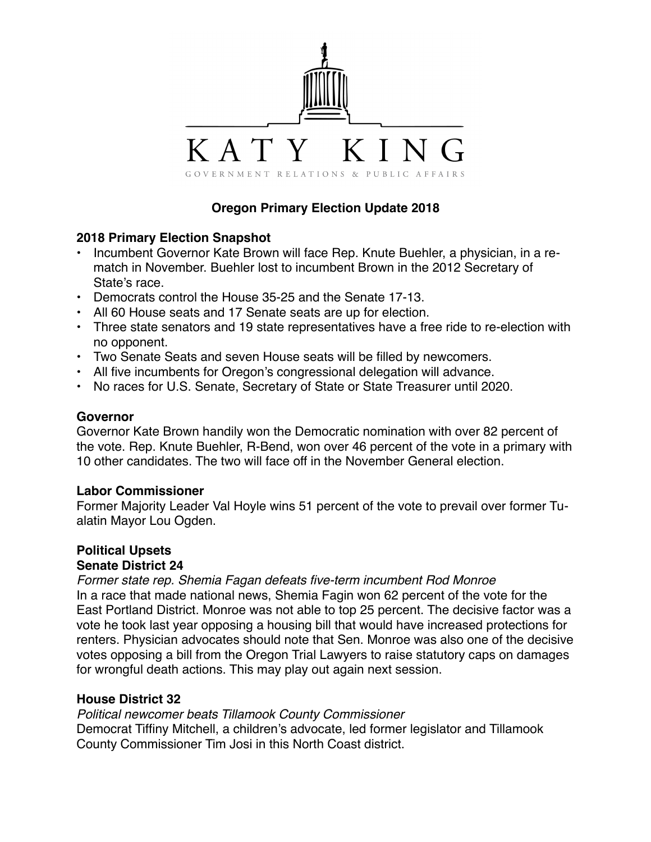

# **Oregon Primary Election Update 2018**

## **2018 Primary Election Snapshot**

- Incumbent Governor Kate Brown will face Rep. Knute Buehler, a physician, in a rematch in November. Buehler lost to incumbent Brown in the 2012 Secretary of State's race.
- Democrats control the House 35-25 and the Senate 17-13.
- All 60 House seats and 17 Senate seats are up for election.
- Three state senators and 19 state representatives have a free ride to re-election with no opponent.
- Two Senate Seats and seven House seats will be filled by newcomers.
- All five incumbents for Oregon's congressional delegation will advance.
- No races for U.S. Senate, Secretary of State or State Treasurer until 2020.

## **Governor**

Governor Kate Brown handily won the Democratic nomination with over 82 percent of the vote. Rep. Knute Buehler, R-Bend, won over 46 percent of the vote in a primary with 10 other candidates. The two will face off in the November General election.

#### **Labor Commissioner**

Former Majority Leader Val Hoyle wins 51 percent of the vote to prevail over former Tualatin Mayor Lou Ogden.

# **Political Upsets Senate District 24**

*Former state rep. Shemia Fagan defeats five-term incumbent Rod Monroe*

In a race that made national news, Shemia Fagin won 62 percent of the vote for the East Portland District. Monroe was not able to top 25 percent. The decisive factor was a vote he took last year opposing a housing bill that would have increased protections for renters. Physician advocates should note that Sen. Monroe was also one of the decisive votes opposing a bill from the Oregon Trial Lawyers to raise statutory caps on damages for wrongful death actions. This may play out again next session.

#### **House District 32**

*Political newcomer beats Tillamook County Commissioner* Democrat Tiffiny Mitchell, a children's advocate, led former legislator and Tillamook County Commissioner Tim Josi in this North Coast district.